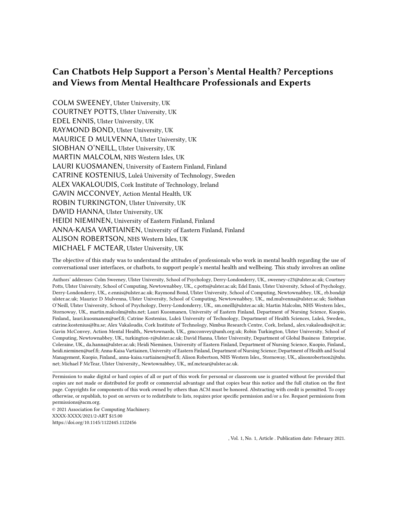COLM SWEENEY, Ulster University, UK COURTNEY POTTS, Ulster University, UK EDEL ENNIS, Ulster University, UK RAYMOND BOND, Ulster University, UK MAURICE D MULVENNA, Ulster University, UK SIOBHAN O'NEILL, Ulster University, UK MARTIN MALCOLM, NHS Western Isles, UK LAURI KUOSMANEN, University of Eastern Finland, Finland CATRINE KOSTENIUS, Luleå University of Technology, Sweden ALEX VAKALOUDIS, Cork Institute of Technology, Ireland GAVIN MCCONVEY, Action Mental Health, UK ROBIN TURKINGTON, Ulster University, UK DAVID HANNA, Ulster University, UK HEIDI NIEMINEN, University of Eastern Finland, Finland ANNA-KAISA VARTIAINEN, University of Eastern Finland, Finland ALISON ROBERTSON, NHS Western Isles, UK MICHAEL F MCTEAR, Ulster University, UK

The objective of this study was to understand the attitudes of professionals who work in mental health regarding the use of conversational user interfaces, or chatbots, to support people's mental health and wellbeing. This study involves an online

Authors' addresses: Colm Sweeney, Ulster University, School of Psychology, Derry-Londonderry, UK,, sweeney-c23@ulster.ac.uk; Courtney Potts, Ulster University, School of Computing, Newtownabbey, UK,, c.potts@ulster.ac.uk; Edel Ennis, Ulster University, School of Psychology, Derry-Londonderry, UK,, e.ennis@ulster.ac.uk; Raymond Bond, Ulster University, School of Computing, Newtownabbey, UK,, rb.bond@ ulster.ac.uk; Maurice D Mulvenna, Ulster University, School of Computing, Newtownabbey, UK,, md.mulvenna@ulster.ac.uk; Siobhan O'Neill, Ulster University, School of Psychology, Derry-Londonderry, UK,, sm.oneill@ulster.ac.uk; Martin Malcolm, NHS Western Isles,, Stornoway, UK,, martin.malcolm@nhs.net; Lauri Kuosmanen, University of Eastern Finland, Department of Nursing Science, Kuopio, Finland,, lauri.kuosmanen@uef.fi; Catrine Kostenius, Luleå University of Technology, Department of Health Sciences, Luleå, Sweden,, catrine.kostenius@ltu.se; Alex Vakaloudis, Cork Institute of Technology, Nimbus Research Centre, Cork, Ireland,, alex.vakaloudis@cit.ie; Gavin McConvey, Action Mental Health,, Newtownards, UK,, gmcconvey@amh.org.uk; Robin Turkington, Ulster University, School of Computing, Newtownabbey, UK,, turkington-r@ulster.ac.uk; David Hanna, Ulster University, Department of Global Business Enterprise, Coleraine, UK,, da.hanna@ulster.ac.uk; Heidi Nieminen, University of Eastern Finland, Department of Nursing Science, Kuopio, Finland,, heidi.nieminen@uef.fi; Anna-Kaisa Vartiainen, University of Eastern Finland, Department of Nursing Science; Department of Health and Social Management, Kuopio, Finland,, anna-kaisa.vartiainen@uef.fi; Alison Robertson, NHS Western Isles,, Stornoway, UK,, alisonrobertson2@nhs. net; Michael F McTear, Ulster University,, Newtownabbey, UK,, mf.mctear@ulster.ac.uk.

Permission to make digital or hard copies of all or part of this work for personal or classroom use is granted without fee provided that copies are not made or distributed for profit or commercial advantage and that copies bear this notice and the full citation on the first page. Copyrights for components of this work owned by others than ACM must be honored. Abstracting with credit is permitted. To copy otherwise, or republish, to post on servers or to redistribute to lists, requires prior specific permission and/or a fee. Request permissions from permissions@acm.org.

© 2021 Association for Computing Machinery. XXXX-XXXX/2021/2-ART \$15.00 <https://doi.org/10.1145/1122445.1122456>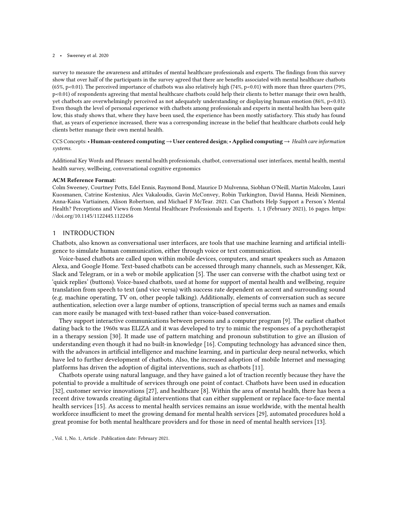survey to measure the awareness and attitudes of mental healthcare professionals and experts. The findings from this survey show that over half of the participants in the survey agreed that there are benefits associated with mental healthcare chatbots (65%, p<0.01). The perceived importance of chatbots was also relatively high (74%, p<0.01) with more than three quarters (79%, p<0.01) of respondents agreeing that mental healthcare chatbots could help their clients to better manage their own health, yet chatbots are overwhelmingly perceived as not adequately understanding or displaying human emotion (86%, p<0.01). Even though the level of personal experience with chatbots among professionals and experts in mental health has been quite low, this study shows that, where they have been used, the experience has been mostly satisfactory. This study has found that, as years of experience increased, there was a corresponding increase in the belief that healthcare chatbots could help clients better manage their own mental health.

### CCS Concepts: • Human-centered computing  $\rightarrow$  User centered design; • Applied computing  $\rightarrow$  Health care information systems.

Additional Key Words and Phrases: mental health professionals, chatbot, conversational user interfaces, mental health, mental health survey, wellbeing, conversational cognitive ergonomics

#### ACM Reference Format:

Colm Sweeney, Courtney Potts, Edel Ennis, Raymond Bond, Maurice D Mulvenna, Siobhan O'Neill, Martin Malcolm, Lauri Kuosmanen, Catrine Kostenius, Alex Vakaloudis, Gavin McConvey, Robin Turkington, David Hanna, Heidi Nieminen, Anna-Kaisa Vartiainen, Alison Robertson, and Michael F McTear. 2021. Can Chatbots Help Support a Person's Mental Health? Perceptions and Views from Mental Healthcare Professionals and Experts. 1, 1 (February 2021), [16](#page-15-0) pages. [https:](https://doi.org/10.1145/1122445.1122456) [//doi.org/10.1145/1122445.1122456](https://doi.org/10.1145/1122445.1122456)

### 1 INTRODUCTION

Chatbots, also known as conversational user interfaces, are tools that use machine learning and artificial intelligence to simulate human communication, either through voice or text communication.

Voice-based chatbots are called upon within mobile devices, computers, and smart speakers such as Amazon Alexa, and Google Home. Text-based chatbots can be accessed through many channels, such as Messenger, Kik, Slack and Telegram, or in a web or mobile application [\[5\]](#page-14-0). The user can converse with the chatbot using text or 'quick replies' (buttons). Voice-based chatbots, used at home for support of mental health and wellbeing, require translation from speech to text (and vice versa) with success rate dependent on accent and surrounding sound (e.g. machine operating, TV on, other people talking). Additionally, elements of conversation such as secure authentication, selection over a large number of options, transcription of special terms such as names and emails can more easily be managed with text-based rather than voice-based conversation.

They support interactive communications between persons and a computer program [\[9\]](#page-14-1). The earliest chatbot dating back to the 1960s was ELIZA and it was developed to try to mimic the responses of a psychotherapist in a therapy session [\[30\]](#page-15-1). It made use of pattern matching and pronoun substitution to give an illusion of understanding even though it had no built-in knowledge [\[16\]](#page-14-2). Computing technology has advanced since then, with the advances in artificial intelligence and machine learning, and in particular deep neural networks, which have led to further development of chatbots. Also, the increased adoption of mobile Internet and messaging platforms has driven the adoption of digital interventions, such as chatbots [\[11\]](#page-14-3).

Chatbots operate using natural language, and they have gained a lot of traction recently because they have the potential to provide a multitude of services through one point of contact. Chatbots have been used in education [\[32\]](#page-15-2), customer service innovations [\[27\]](#page-15-3), and healthcare [\[8\]](#page-14-4). Within the area of mental health, there has been a recent drive towards creating digital interventions that can either supplement or replace face-to-face mental health services [\[15\]](#page-14-5). As access to mental health services remains an issue worldwide, with the mental health workforce insufficient to meet the growing demand for mental health services [\[29\]](#page-15-4), automated procedures hold a great promise for both mental healthcare providers and for those in need of mental health services [\[13\]](#page-14-6).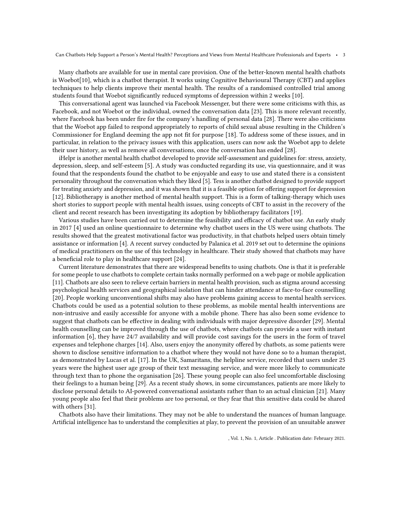Many chatbots are available for use in mental care provision. One of the better-known mental health chatbots is Woebot[\[10\]](#page-14-7), which is a chatbot therapist. It works using Cognitive Behavioural Therapy (CBT) and applies techniques to help clients improve their mental health. The results of a randomised controlled trial among students found that Woebot significantly reduced symptoms of depression within 2 weeks [\[10\]](#page-14-7).

This conversational agent was launched via Facebook Messenger, but there were some criticisms with this, as Facebook, and not Woebot or the individual, owned the conversation data [\[23\]](#page-15-5). This is more relevant recently, where Facebook has been under fire for the company's handling of personal data [\[28\]](#page-15-6). There were also criticisms that the Woebot app failed to respond appropriately to reports of child sexual abuse resulting in the Children's Commissioner for England deeming the app not fit for purpose [\[18\]](#page-15-7). To address some of these issues, and in particular, in relation to the privacy issues with this application, users can now ask the Woebot app to delete their user history, as well as remove all conversations, once the conversation has ended [\[28\]](#page-15-6).

iHelpr is another mental health chatbot developed to provide self-assessment and guidelines for: stress, anxiety, depression, sleep, and self-esteem [\[5\]](#page-14-0). A study was conducted regarding its use, via questionnaire, and it was found that the respondents found the chatbot to be enjoyable and easy to use and stated there is a consistent personality throughout the conversation which they liked [\[5\]](#page-14-0). Tess is another chatbot designed to provide support for treating anxiety and depression, and it was shown that it is a feasible option for offering support for depression [\[12\]](#page-14-8). Bibliotherapy is another method of mental health support. This is a form of talking-therapy which uses short stories to support people with mental health issues, using concepts of CBT to assist in the recovery of the client and recent research has been investigating its adoption by bibliotherapy facilitators [\[19\]](#page-15-8).

Various studies have been carried out to determine the feasibility and efficacy of chatbot use. An early study in 2017 [\[4\]](#page-14-9) used an online questionnaire to determine why chatbot users in the US were using chatbots. The results showed that the greatest motivational factor was productivity, in that chatbots helped users obtain timely assistance or information [\[4\]](#page-14-9). A recent survey conducted by Palanica et al. 2019 set out to determine the opinions of medical practitioners on the use of this technology in healthcare. Their study showed that chatbots may have a beneficial role to play in healthcare support [\[24\]](#page-15-9).

Current literature demonstrates that there are widespread benefits to using chatbots. One is that it is preferable for some people to use chatbots to complete certain tasks normally performed on a web page or mobile application [\[11\]](#page-14-3). Chatbots are also seen to relieve certain barriers in mental health provision, such as stigma around accessing psychological health services and geographical isolation that can hinder attendance at face-to-face counselling [\[20\]](#page-15-10). People working unconventional shifts may also have problems gaining access to mental health services. Chatbots could be used as a potential solution to these problems, as mobile mental health interventions are non-intrusive and easily accessible for anyone with a mobile phone. There has also been some evidence to suggest that chatbots can be effective in dealing with individuals with major depressive disorder [\[29\]](#page-15-4). Mental health counselling can be improved through the use of chatbots, where chatbots can provide a user with instant information [\[6\]](#page-14-10), they have 24/7 availability and will provide cost savings for the users in the form of travel expenses and telephone charges [\[14\]](#page-14-11). Also, users enjoy the anonymity offered by chatbots, as some patients were shown to disclose sensitive information to a chatbot where they would not have done so to a human therapist, as demonstrated by Lucas et al. [\[17\]](#page-15-11). In the UK, Samaritans, the helpline service, recorded that users under 25 years were the highest user age group of their text messaging service, and were more likely to communicate through text than to phone the organisation [\[26\]](#page-15-12). These young people can also feel uncomfortable disclosing their feelings to a human being [\[29\]](#page-15-4). As a recent study shows, in some circumstances, patients are more likely to disclose personal details to AI-powered conversational assistants rather than to an actual clinician [\[21\]](#page-15-13). Many young people also feel that their problems are too personal, or they fear that this sensitive data could be shared with others [\[31\]](#page-15-14).

Chatbots also have their limitations. They may not be able to understand the nuances of human language. Artificial intelligence has to understand the complexities at play, to prevent the provision of an unsuitable answer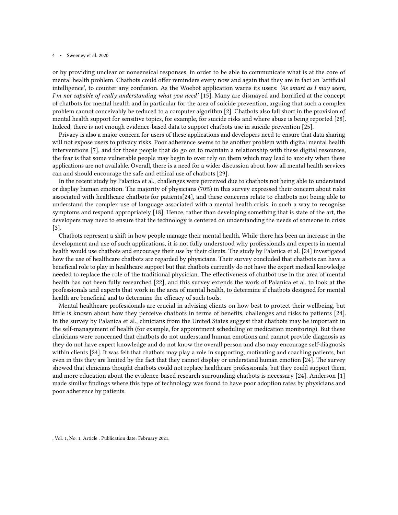or by providing unclear or nonsensical responses, in order to be able to communicate what is at the core of mental health problem. Chatbots could offer reminders every now and again that they are in fact an 'artificial intelligence', to counter any confusion. As the Woebot application warns its users: 'As smart as I may seem, I'm not capable of really understanding what you need' [\[15\]](#page-14-5). Many are dismayed and horrified at the concept of chatbots for mental health and in particular for the area of suicide prevention, arguing that such a complex problem cannot conceivably be reduced to a computer algorithm [\[2\]](#page-14-12). Chatbots also fall short in the provision of mental health support for sensitive topics, for example, for suicide risks and where abuse is being reported [\[28\]](#page-15-6). Indeed, there is not enough evidence-based data to support chatbots use in suicide prevention [\[25\]](#page-15-15).

Privacy is also a major concern for users of these applications and developers need to ensure that data sharing will not expose users to privacy risks. Poor adherence seems to be another problem with digital mental health interventions [\[7\]](#page-14-13), and for those people that do go on to maintain a relationship with these digital resources, the fear is that some vulnerable people may begin to over rely on them which may lead to anxiety when these applications are not available. Overall, there is a need for a wider discussion about how all mental health services can and should encourage the safe and ethical use of chatbots [\[29\]](#page-15-4).

In the recent study by Palanica et al., challenges were perceived due to chatbots not being able to understand or display human emotion. The majority of physicians (70%) in this survey expressed their concern about risks associated with healthcare chatbots for patients[\[24\]](#page-15-9), and these concerns relate to chatbots not being able to understand the complex use of language associated with a mental health crisis, in such a way to recognise symptoms and respond appropriately [\[18\]](#page-15-7). Hence, rather than developing something that is state of the art, the developers may need to ensure that the technology is centered on understanding the needs of someone in crisis [\[3\]](#page-14-14).

Chatbots represent a shift in how people manage their mental health. While there has been an increase in the development and use of such applications, it is not fully understood why professionals and experts in mental health would use chatbots and encourage their use by their clients. The study by Palanica et al. [\[24\]](#page-15-9) investigated how the use of healthcare chatbots are regarded by physicians. Their survey concluded that chatbots can have a beneficial role to play in healthcare support but that chatbots currently do not have the expert medical knowledge needed to replace the role of the traditional physician. The effectiveness of chatbot use in the area of mental health has not been fully researched [\[22\]](#page-15-16), and this survey extends the work of Palanica et al. to look at the professionals and experts that work in the area of mental health, to determine if chatbots designed for mental health are beneficial and to determine the efficacy of such tools.

Mental healthcare professionals are crucial in advising clients on how best to protect their wellbeing, but little is known about how they perceive chatbots in terms of benefits, challenges and risks to patients [\[24\]](#page-15-9). In the survey by Palanica et al., clinicians from the United States suggest that chatbots may be important in the self-management of health (for example, for appointment scheduling or medication monitoring). But these clinicians were concerned that chatbots do not understand human emotions and cannot provide diagnosis as they do not have expert knowledge and do not know the overall person and also may encourage self-diagnosis within clients [\[24\]](#page-15-9). It was felt that chatbots may play a role in supporting, motivating and coaching patients, but even in this they are limited by the fact that they cannot display or understand human emotion [\[24\]](#page-15-9). The survey showed that clinicians thought chatbots could not replace healthcare professionals, but they could support them, and more education about the evidence-based research surrounding chatbots is necessary [\[24\]](#page-15-9). Anderson [\[1\]](#page-14-15) made similar findings where this type of technology was found to have poor adoption rates by physicians and poor adherence by patients.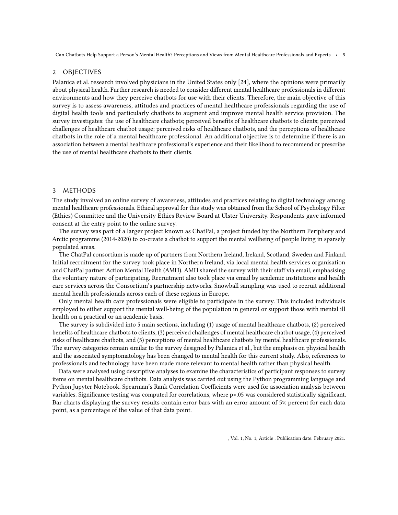# 2 OBJECTIVES

Palanica et al. research involved physicians in the United States only [\[24\]](#page-15-9), where the opinions were primarily about physical health. Further research is needed to consider different mental healthcare professionals in different environments and how they perceive chatbots for use with their clients. Therefore, the main objective of this survey is to assess awareness, attitudes and practices of mental healthcare professionals regarding the use of digital health tools and particularly chatbots to augment and improve mental health service provision. The survey investigates: the use of healthcare chatbots; perceived benefits of healthcare chatbots to clients; perceived challenges of healthcare chatbot usage; perceived risks of healthcare chatbots, and the perceptions of healthcare chatbots in the role of a mental healthcare professional. An additional objective is to determine if there is an association between a mental healthcare professional's experience and their likelihood to recommend or prescribe the use of mental healthcare chatbots to their clients.

# 3 METHODS

The study involved an online survey of awareness, attitudes and practices relating to digital technology among mental healthcare professionals. Ethical approval for this study was obtained from the School of Psychology Filter (Ethics) Committee and the University Ethics Review Board at Ulster University. Respondents gave informed consent at the entry point to the online survey.

The survey was part of a larger project known as ChatPal, a project funded by the Northern Periphery and Arctic programme (2014-2020) to co-create a chatbot to support the mental wellbeing of people living in sparsely populated areas.

The ChatPal consortium is made up of partners from Northern Ireland, Ireland, Scotland, Sweden and Finland. Initial recruitment for the survey took place in Northern Ireland, via local mental health services organisation and ChatPal partner Action Mental Health (AMH). AMH shared the survey with their staff via email, emphasising the voluntary nature of participating. Recruitment also took place via email by academic institutions and health care services across the Consortium's partnership networks. Snowball sampling was used to recruit additional mental health professionals across each of these regions in Europe.

Only mental health care professionals were eligible to participate in the survey. This included individuals employed to either support the mental well-being of the population in general or support those with mental ill health on a practical or an academic basis.

The survey is subdivided into 5 main sections, including (1) usage of mental healthcare chatbots, (2) perceived benefits of healthcare chatbots to clients, (3) perceived challenges of mental healthcare chatbot usage, (4) perceived risks of healthcare chatbots, and (5) perceptions of mental healthcare chatbots by mental healthcare professionals. The survey categories remain similar to the survey designed by Palanica et al., but the emphasis on physical health and the associated symptomatology has been changed to mental health for this current study. Also, references to professionals and technology have been made more relevant to mental health rather than physical health.

Data were analysed using descriptive analyses to examine the characteristics of participant responses to survey items on mental healthcare chatbots. Data analysis was carried out using the Python programming language and Python Jupyter Notebook. Spearman's Rank Correlation Coefficients were used for association analysis between variables. Significance testing was computed for correlations, where p<.05 was considered statistically significant. Bar charts displaying the survey results contain error bars with an error amount of 5% percent for each data point, as a percentage of the value of that data point.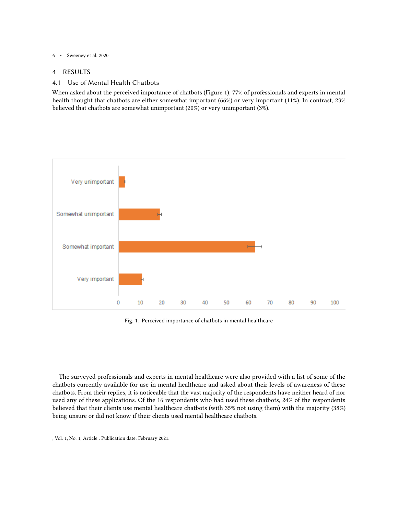# 4 RESULTS

# 4.1 Use of Mental Health Chatbots

When asked about the perceived importance of chatbots (Figure 1), 77% of professionals and experts in mental health thought that chatbots are either somewhat important (66%) or very important (11%). In contrast, 23% believed that chatbots are somewhat unimportant (20%) or very unimportant (3%).



Fig. 1. Perceived importance of chatbots in mental healthcare

The surveyed professionals and experts in mental healthcare were also provided with a list of some of the chatbots currently available for use in mental healthcare and asked about their levels of awareness of these chatbots. From their replies, it is noticeable that the vast majority of the respondents have neither heard of nor used any of these applications. Of the 16 respondents who had used these chatbots, 24% of the respondents believed that their clients use mental healthcare chatbots (with 35% not using them) with the majority (38%) being unsure or did not know if their clients used mental healthcare chatbots.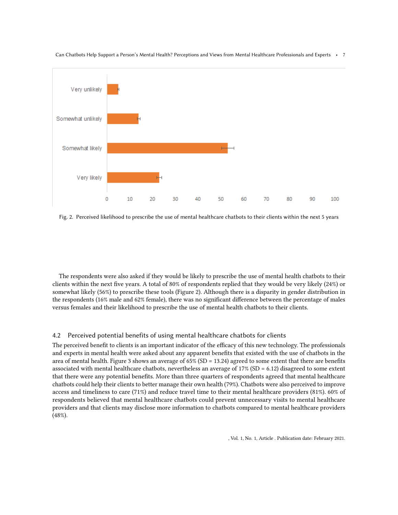

Fig. 2. Perceived likelihood to prescribe the use of mental healthcare chatbots to their clients within the next 5 years

The respondents were also asked if they would be likely to prescribe the use of mental health chatbots to their clients within the next five years. A total of 80% of respondents replied that they would be very likely (24%) or somewhat likely (56%) to prescribe these tools (Figure 2). Although there is a disparity in gender distribution in the respondents (16% male and 62% female), there was no significant difference between the percentage of males versus females and their likelihood to prescribe the use of mental health chatbots to their clients.

# 4.2 Perceived potential benefits of using mental healthcare chatbots for clients

The perceived benefit to clients is an important indicator of the efficacy of this new technology. The professionals and experts in mental health were asked about any apparent benefits that existed with the use of chatbots in the area of mental health. Figure 3 shows an average of 65% (SD = 13.24) agreed to some extent that there are benefits associated with mental healthcare chatbots, nevertheless an average of 17% (SD = 6.12) disagreed to some extent that there were any potential benefits. More than three quarters of respondents agreed that mental healthcare chatbots could help their clients to better manage their own health (79%). Chatbots were also perceived to improve access and timeliness to care (71%) and reduce travel time to their mental healthcare providers (81%). 60% of respondents believed that mental healthcare chatbots could prevent unnecessary visits to mental healthcare providers and that clients may disclose more information to chatbots compared to mental healthcare providers (48%).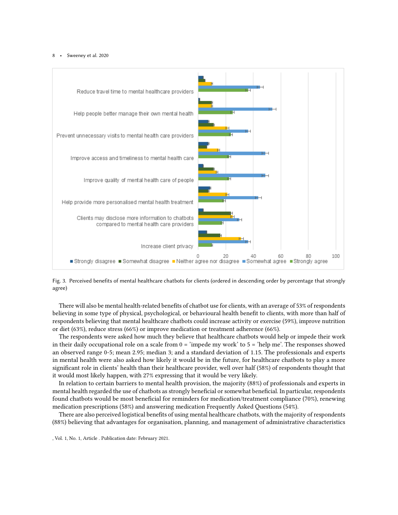

Fig. 3. Perceived benefits of mental healthcare chatbots for clients (ordered in descending order by percentage that strongly agree)

There will also be mental health-related benefits of chatbot use for clients, with an average of 53% of respondents believing in some type of physical, psychological, or behavioural health benefit to clients, with more than half of respondents believing that mental healthcare chatbots could increase activity or exercise (59%), improve nutrition or diet (63%), reduce stress (66%) or improve medication or treatment adherence (66%).

The respondents were asked how much they believe that healthcare chatbots would help or impede their work in their daily occupational role on a scale from  $0 = \text{'impede}$  my work' to  $5 = \text{'help}$  me'. The responses showed an observed range 0-5; mean 2.95; median 3; and a standard deviation of 1.15. The professionals and experts in mental health were also asked how likely it would be in the future, for healthcare chatbots to play a more significant role in clients' health than their healthcare provider, well over half (58%) of respondents thought that it would most likely happen, with 27% expressing that it would be very likely.

In relation to certain barriers to mental health provision, the majority (88%) of professionals and experts in mental health regarded the use of chatbots as strongly beneficial or somewhat beneficial. In particular, respondents found chatbots would be most beneficial for reminders for medication/treatment compliance (70%), renewing medication prescriptions (58%) and answering medication Frequently Asked Questions (54%).

There are also perceived logistical benefits of using mental healthcare chatbots, with the majority of respondents (88%) believing that advantages for organisation, planning, and management of administrative characteristics

<sup>,</sup> Vol. 1, No. 1, Article . Publication date: February 2021.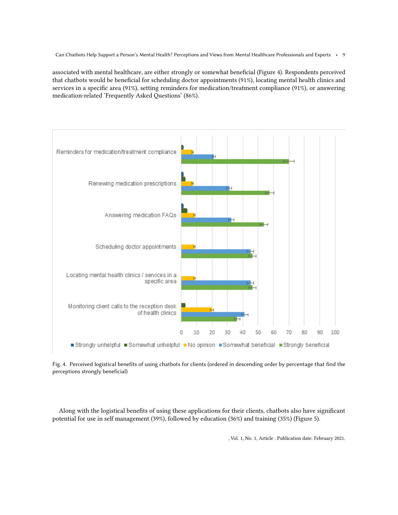associated with mental healthcare, are either strongly or somewhat beneficial (Figure 4). Respondents perceived that chatbots would be beneficial for scheduling doctor appointments (91%), locating mental health clinics and services in a specific area (91%), setting reminders for medication/treatment compliance (91%), or answering medication-related 'Frequently Asked Questions' (86%).



Fig. 4. Perceived logistical benefits of using chatbots for clients (ordered in descending order by percentage that find the perceptions strongly beneficial)

Along with the logistical benefits of using these applications for their clients, chatbots also have significant potential for use in self management (39%), followed by education (36%) and training (35%) (Figure 5).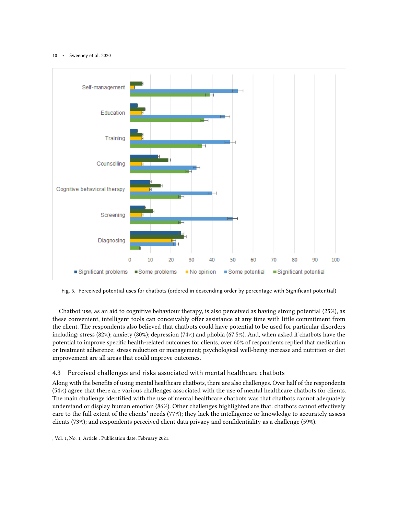

Fig. 5. Perceived potential uses for chatbots (ordered in descending order by percentage with Significant potential)

Chatbot use, as an aid to cognitive behaviour therapy, is also perceived as having strong potential (25%), as these convenient, intelligent tools can conceivably offer assistance at any time with little commitment from the client. The respondents also believed that chatbots could have potential to be used for particular disorders including: stress (82%); anxiety (80%); depression (74%) and phobia (67.5%). And, when asked if chatbots have the potential to improve specific health-related outcomes for clients, over 60% of respondents replied that medication or treatment adherence; stress reduction or management; psychological well-being increase and nutrition or diet improvement are all areas that could improve outcomes.

# 4.3 Perceived challenges and risks associated with mental healthcare chatbots

Along with the benefits of using mental healthcare chatbots, there are also challenges. Over half of the respondents (54%) agree that there are various challenges associated with the use of mental healthcare chatbots for clients. The main challenge identified with the use of mental healthcare chatbots was that chatbots cannot adequately understand or display human emotion (86%). Other challenges highlighted are that: chatbots cannot effectively care to the full extent of the clients' needs (77%); they lack the intelligence or knowledge to accurately assess clients (73%); and respondents perceived client data privacy and confidentiality as a challenge (59%).

<sup>,</sup> Vol. 1, No. 1, Article . Publication date: February 2021.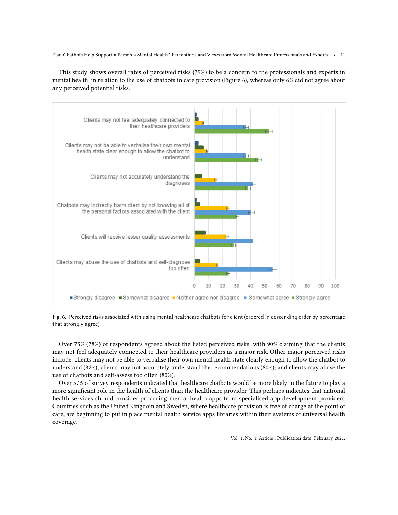This study shows overall rates of perceived risks (79%) to be a concern to the professionals and experts in mental health, in relation to the use of chatbots in care provision (Figure 6), whereas only 6% did not agree about any perceived potential risks.



Fig. 6. Perceived risks associated with using mental healthcare chatbots for client (ordered in descending order by percentage that strongly agree)

Over 75% (78%) of respondents agreed about the listed perceived risks, with 90% claiming that the clients may not feel adequately connected to their healthcare providers as a major risk. Other major perceived risks include: clients may not be able to verbalise their own mental health state clearly enough to allow the chatbot to understand (82%); clients may not accurately understand the recommendations (80%); and clients may abuse the use of chatbots and self-assess too often (80%).

Over 57% of survey respondents indicated that healthcare chatbots would be more likely in the future to play a more significant role in the health of clients than the healthcare provider. This perhaps indicates that national health services should consider procuring mental health apps from specialised app development providers. Countries such as the United Kingdom and Sweden, where healthcare provision is free of charge at the point of care, are beginning to put in place mental health service apps libraries within their systems of universal health coverage.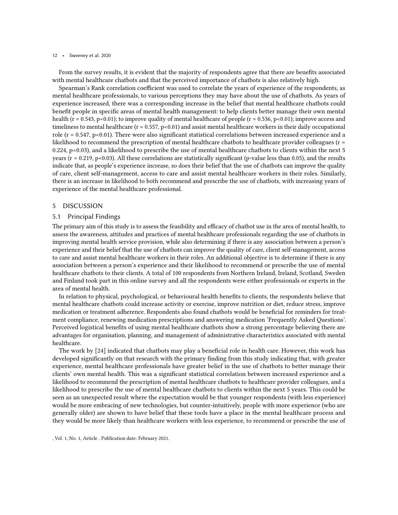From the survey results, it is evident that the majority of respondents agree that there are benefits associated with mental healthcare chatbots and that the perceived importance of chatbots is also relatively high.

Spearman's Rank correlation coefficient was used to correlate the years of experience of the respondents, as mental healthcare professionals, to various perceptions they may have about the use of chatbots. As years of experience increased, there was a corresponding increase in the belief that mental healthcare chatbots could benefit people in specific areas of mental health management: to help clients better manage their own mental health ( $r = 0.543$ ,  $p < 0.01$ ); to improve quality of mental healthcare of people ( $r = 0.536$ ,  $p < 0.01$ ); improve access and timeliness to mental healthcare ( $r = 0.557$ ,  $p < 0.01$ ) and assist mental healthcare workers in their daily occupational role ( $r = 0.547$ , p<0.01). There were also significant statistical correlations between increased experience and a likelihood to recommend the prescription of mental healthcare chatbots to healthcare provider colleagues (r = 0.224, p<0.03), and a likelihood to prescribe the use of mental healthcare chatbots to clients within the next 5 years ( $r = 0.219$ ,  $p < 0.03$ ). All these correlations are statistically significant (p-value less than 0.05), and the results indicate that, as people's experience increase, so does their belief that the use of chatbots can improve the quality of care, client self-management, access to care and assist mental healthcare workers in their roles. Similarly, there is an increase in likelihood to both recommend and prescribe the use of chatbots, with increasing years of experience of the mental healthcare professional.

# 5 DISCUSSION

### 5.1 Principal Findings

The primary aim of this study is to assess the feasibility and efficacy of chatbot use in the area of mental health, to assess the awareness, attitudes and practices of mental healthcare professionals regarding the use of chatbots in improving mental health service provision, while also determining if there is any association between a person's experience and their belief that the use of chatbots can improve the quality of care, client self-management, access to care and assist mental healthcare workers in their roles. An additional objective is to determine if there is any association between a person's experience and their likelihood to recommend or prescribe the use of mental healthcare chatbots to their clients. A total of 100 respondents from Northern Ireland, Ireland, Scotland, Sweden and Finland took part in this online survey and all the respondents were either professionals or experts in the area of mental health.

In relation to physical, psychological, or behavioural health benefits to clients, the respondents believe that mental healthcare chatbots could increase activity or exercise, improve nutrition or diet, reduce stress, improve medication or treatment adherence. Respondents also found chatbots would be beneficial for reminders for treatment compliance, renewing medication prescriptions and answering medication 'Frequently Asked Questions'. Perceived logistical benefits of using mental healthcare chatbots show a strong percentage believing there are advantages for organisation, planning, and management of administrative characteristics associated with mental healthcare.

The work by [\[24\]](#page-15-9) indicated that chatbots may play a beneficial role in health care. However, this work has developed significantly on that research with the primary finding from this study indicating that, with greater experience, mental healthcare professionals have greater belief in the use of chatbots to better manage their clients' own mental health. This was a significant statistical correlation between increased experience and a likelihood to recommend the prescription of mental healthcare chatbots to healthcare provider colleagues, and a likelihood to prescribe the use of mental healthcare chatbots to clients within the next 5 years. This could be seen as an unexpected result where the expectation would be that younger respondents (with less experience) would be more embracing of new technologies, but counter-intuitively, people with more experience (who are generally older) are shown to have belief that these tools have a place in the mental healthcare process and they would be more likely than healthcare workers with less experience, to recommend or prescribe the use of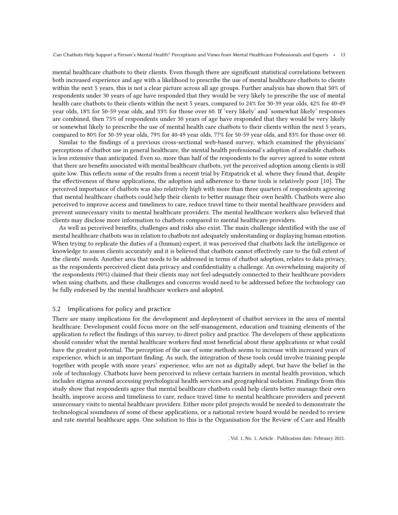mental healthcare chatbots to their clients. Even though there are significant statistical correlations between both increased experience and age with a likelihood to prescribe the use of mental healthcare chatbots to clients within the next 5 years, this is not a clear picture across all age groups. Further analysis has shown that 50% of respondents under 30 years of age have responded that they would be very likely to prescribe the use of mental health care chatbots to their clients within the next 5 years, compared to 24% for 30-39 year olds, 42% for 40-49 year olds, 18% for 50-59 year olds, and 33% for those over 60. If 'very likely' and 'somewhat likely' responses are combined, then 75% of respondents under 30 years of age have responded that they would be very likely or somewhat likely to prescribe the use of mental health care chatbots to their clients within the next 5 years, compared to 80% for 30-39 year olds, 79% for 40-49 year olds, 77% for 50-59 year olds, and 83% for those over 60.

Similar to the findings of a previous cross-sectional web-based survey, which examined the physicians' perceptions of chatbot use in general healthcare, the mental health professional's adoption of available chatbots is less extensive than anticipated. Even so, more than half of the respondents to the survey agreed to some extent that there are benefits associated with mental healthcare chatbots, yet the perceived adoption among clients is still quite low. This reflects some of the results from a recent trial by Fitzpatrick et al. where they found that, despite the effectiveness of these applications, the adoption and adherence to these tools is relatively poor [\[10\]](#page-14-7). The perceived importance of chatbots was also relatively high with more than three quarters of respondents agreeing that mental healthcare chatbots could help their clients to better manage their own health. Chatbots were also perceived to improve access and timeliness to care, reduce travel time to their mental healthcare providers and prevent unnecessary visits to mental healthcare providers. The mental healthcare workers also believed that clients may disclose more information to chatbots compared to mental healthcare providers.

As well as perceived benefits, challenges and risks also exist. The main challenge identified with the use of mental healthcare chatbots was in relation to chatbots not adequately understanding or displaying human emotion. When trying to replicate the duties of a (human) expert, it was perceived that chatbots lack the intelligence or knowledge to assess clients accurately and it is believed that chatbots cannot effectively care to the full extent of the clients' needs. Another area that needs to be addressed in terms of chatbot adoption, relates to data privacy, as the respondents perceived client data privacy and confidentiality a challenge. An overwhelming majority of the respondents (90%) claimed that their clients may not feel adequately connected to their healthcare providers when using chatbots, and these challenges and concerns would need to be addressed before the technology can be fully endorsed by the mental healthcare workers and adopted.

# 5.2 Implications for policy and practice

There are many implications for the development and deployment of chatbot services in the area of mental healthcare. Development could focus more on the self-management, education and training elements of the application to reflect the findings of this survey, to direct policy and practice. The developers of these applications should consider what the mental healthcare workers find most beneficial about these applications or what could have the greatest potential. The perception of the use of some methods seems to increase with increased years of experience, which is an important finding. As such, the integration of these tools could involve training people together with people with more years' experience, who are not as digitally adept, but have the belief in the role of technology. Chatbots have been perceived to relieve certain barriers in mental health provision, which includes stigma around accessing psychological health services and geographical isolation. Findings from this study show that respondents agree that mental healthcare chatbots could help clients better manage their own health, improve access and timeliness to care, reduce travel time to mental healthcare providers and prevent unnecessary visits to mental healthcare providers. Either more pilot projects would be needed to demonstrate the technological soundness of some of these applications, or a national review board would be needed to review and rate mental healthcare apps. One solution to this is the Organisation for the Review of Care and Health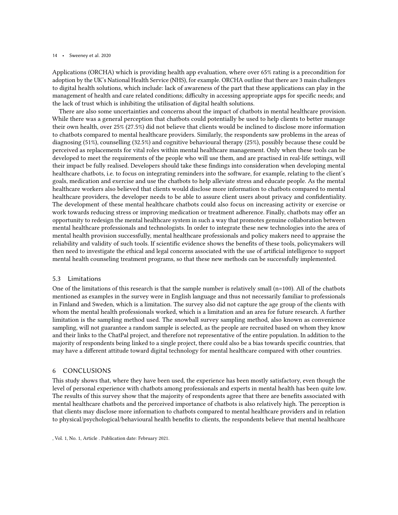Applications (ORCHA) which is providing health app evaluation, where over 65% rating is a precondition for adoption by the UK's National Health Service (NHS), for example. ORCHA outline that there are 3 main challenges to digital health solutions, which include: lack of awareness of the part that these applications can play in the management of health and care related conditions; difficulty in accessing appropriate apps for specific needs; and the lack of trust which is inhibiting the utilisation of digital health solutions.

There are also some uncertainties and concerns about the impact of chatbots in mental healthcare provision. While there was a general perception that chatbots could potentially be used to help clients to better manage their own health, over 25% (27.5%) did not believe that clients would be inclined to disclose more information to chatbots compared to mental healthcare providers. Similarly, the respondents saw problems in the areas of diagnosing (51%), counselling (32.5%) and cognitive behavioural therapy (25%), possibly because these could be perceived as replacements for vital roles within mental healthcare management. Only when these tools can be developed to meet the requirements of the people who will use them, and are practised in real-life settings, will their impact be fully realised. Developers should take these findings into consideration when developing mental healthcare chatbots, i.e. to focus on integrating reminders into the software, for example, relating to the client's goals, medication and exercise and use the chatbots to help alleviate stress and educate people. As the mental healthcare workers also believed that clients would disclose more information to chatbots compared to mental healthcare providers, the developer needs to be able to assure client users about privacy and confidentiality. The development of these mental healthcare chatbots could also focus on increasing activity or exercise or work towards reducing stress or improving medication or treatment adherence. Finally, chatbots may offer an opportunity to redesign the mental healthcare system in such a way that promotes genuine collaboration between mental healthcare professionals and technologists. In order to integrate these new technologies into the area of mental health provision successfully, mental healthcare professionals and policy makers need to appraise the reliability and validity of such tools. If scientific evidence shows the benefits of these tools, policymakers will then need to investigate the ethical and legal concerns associated with the use of artificial intelligence to support mental health counseling treatment programs, so that these new methods can be successfully implemented.

# 5.3 Limitations

One of the limitations of this research is that the sample number is relatively small  $(n=100)$ . All of the chatbots mentioned as examples in the survey were in English language and thus not necessarily familiar to professionals in Finland and Sweden, which is a limitation. The survey also did not capture the age group of the clients with whom the mental health professionals worked, which is a limitation and an area for future research. A further limitation is the sampling method used. The snowball survey sampling method, also known as convenience sampling, will not guarantee a random sample is selected, as the people are recruited based on whom they know and their links to the ChatPal project, and therefore not representative of the entire population. In addition to the majority of respondents being linked to a single project, there could also be a bias towards specific countries, that may have a different attitude toward digital technology for mental healthcare compared with other countries.

### 6 CONCLUSIONS

This study shows that, where they have been used, the experience has been mostly satisfactory, even though the level of personal experience with chatbots among professionals and experts in mental health has been quite low. The results of this survey show that the majority of respondents agree that there are benefits associated with mental healthcare chatbots and the perceived importance of chatbots is also relatively high. The perception is that clients may disclose more information to chatbots compared to mental healthcare providers and in relation to physical/psychological/behavioural health benefits to clients, the respondents believe that mental healthcare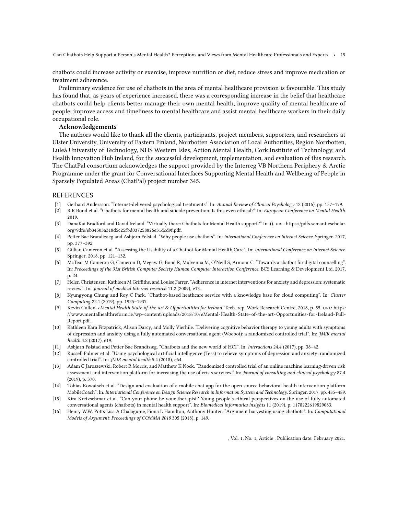chatbots could increase activity or exercise, improve nutrition or diet, reduce stress and improve medication or treatment adherence.

Preliminary evidence for use of chatbots in the area of mental healthcare provision is favourable. This study has found that, as years of experience increased, there was a corresponding increase in the belief that healthcare chatbots could help clients better manage their own mental health; improve quality of mental healthcare of people; improve access and timeliness to mental healthcare and assist mental healthcare workers in their daily occupational role.

### Acknowledgements

The authors would like to thank all the clients, participants, project members, supporters, and researchers at Ulster University, University of Eastern Finland, Norrbotten Association of Local Authorities, Region Norrbotten, Luleå University of Technology, NHS Western Isles, Action Mental Health, Cork Institute of Technology, and Health Innovation Hub Ireland, for the successful development, implementation, and evaluation of this research. The ChatPal consortium acknowledges the support provided by the Interreg VB Northern Periphery & Arctic Programme under the grant for Conversational Interfaces Supporting Mental Health and Wellbeing of People in Sparsely Populated Areas (ChatPal) project number 345.

# REFERENCES

- <span id="page-14-15"></span>[1] Gerhard Andersson. "Internet-delivered psychological treatments". In: Annual Review of Clinical Psychology 12 (2016), pp. 157–179.
- <span id="page-14-12"></span>[2] R R Bond et al. "Chatbots for mental health and suicide prevention: Is this even ethical?" In: European Conference on Mental Health. 2019.
- <span id="page-14-14"></span>[3] DanaKai Bradford and David Ireland. "Virtually there: Chatbots for Mental Health support?" In: (). url: [https://pdfs.semanticscholar.](https://pdfs.semanticscholar.org/9dfe/eb34503a318d5c25fbd037258826e31dcd9f.pdf) [org/9dfe/eb34503a318d5c25fbd037258826e31dcd9f.pdf.](https://pdfs.semanticscholar.org/9dfe/eb34503a318d5c25fbd037258826e31dcd9f.pdf)
- <span id="page-14-9"></span>[4] Petter Bae Brandtzaeg and Asbjørn Følstad. "Why people use chatbots". In: International Conference on Internet Science. Springer. 2017, pp. 377–392.
- <span id="page-14-0"></span>[5] Gillian Cameron et al. "Assessing the Usability of a Chatbot for Mental Health Care". In: International Conference on Internet Science. Springer. 2018, pp. 121–132.
- <span id="page-14-10"></span>[6] McTear M Cameron G, Cameron D, Megaw G, Bond R, Mulvenna M, O'Neill S, Armour C. "Towards a chatbot for digital counselling". In: Proceedings of the 31st British Computer Society Human Computer Interaction Conference. BCS Learning & Development Ltd, 2017, p. 24.
- <span id="page-14-13"></span>[7] Helen Christensen, Kathleen M Griffiths, and Louise Farrer. "Adherence in internet interventions for anxiety and depression: systematic review". In: Journal of medical Internet research 11.2 (2009), e13.
- <span id="page-14-4"></span>[8] Kyungyong Chung and Roy C Park. "Chatbot-based heathcare service with a knowledge base for cloud computing". In: Cluster Computing 22.1 (2019), pp. 1925–1937.
- <span id="page-14-1"></span>[9] Kevin Cullen. eMental Health State-of-the-art & Opportunities for Ireland. Tech. rep. Work Research Centre, 2018, p. 55. URL: [https:](https://www.mentalhealthreform.ie/wp-content/uploads/2018/10/eMental-Health-State-of-the-art-Opportunities-for-Ireland-Full-Report.pdf) [//www.mentalhealthreform.ie/wp-content/uploads/2018/10/eMental-Health-State- of- the-art-Opportunities- for-Ireland-Full-](https://www.mentalhealthreform.ie/wp-content/uploads/2018/10/eMental-Health-State-of-the-art-Opportunities-for-Ireland-Full-Report.pdf)[Report.pdf.](https://www.mentalhealthreform.ie/wp-content/uploads/2018/10/eMental-Health-State-of-the-art-Opportunities-for-Ireland-Full-Report.pdf)
- <span id="page-14-7"></span>[10] Kathleen Kara Fitzpatrick, Alison Darcy, and Molly Vierhile. "Delivering cognitive behavior therapy to young adults with symptoms of depression and anxiety using a fully automated conversational agent (Woebot): a randomized controlled trial". In: JMIR mental health 4.2 (2017), e19.
- <span id="page-14-3"></span>[11] Asbjørn Følstad and Petter Bae Brandtzæg. "Chatbots and the new world of HCI". In: interactions 24.4 (2017), pp. 38–42.
- <span id="page-14-8"></span>[12] Russell Fulmer et al. "Using psychological artificial intelligence (Tess) to relieve symptoms of depression and anxiety: randomized controlled trial". In: JMIR mental health 5.4 (2018), e64.
- <span id="page-14-6"></span>[13] Adam C Jaroszewski, Robert R Morris, and Matthew K Nock. "Randomized controlled trial of an online machine learning-driven risk assessment and intervention platform for increasing the use of crisis services." In: Journal of consulting and clinical psychology 87.4 (2019), p. 370.
- <span id="page-14-11"></span>[14] Tobias Kowatsch et al. "Design and evaluation of a mobile chat app for the open source behavioral health intervention platform MobileCoach". In: International Conference on Design Science Research in Information System and Technology. Springer. 2017, pp. 485–489.
- <span id="page-14-5"></span>[15] Kira Kretzschmar et al. "Can your phone be your therapist? Young people's ethical perspectives on the use of fully automated conversational agents (chatbots) in mental health support". In: Biomedical informatics insights 11 (2019), p. 1178222619829083.
- <span id="page-14-2"></span>[16] Henry W.W. Potts Lisa A Chalaguine, Fiona L Hamilton, Anthony Hunter. "Argument harvesting using chatbots". In: Computational Models of Argument: Proceedings of COMMA 2018 305 (2018), p. 149.